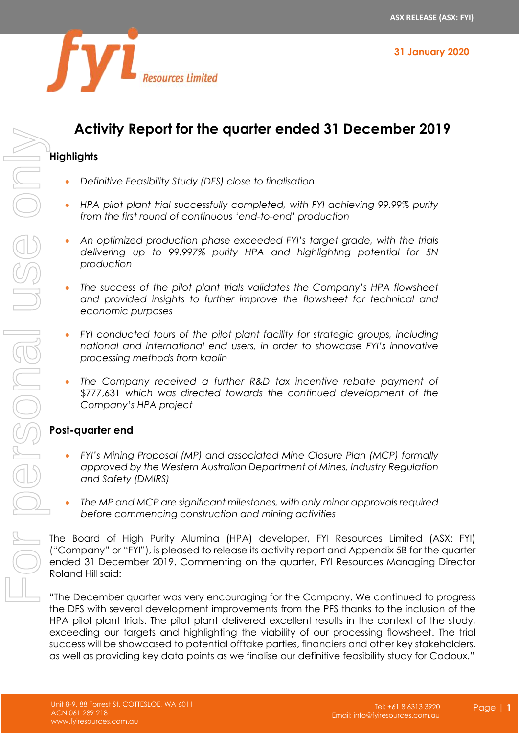

# **Activity Report for the quarter ended 31 December 2019**

#### **Highlights**

- *Definitive Feasibility Study (DFS) close to finalisation*
- *HPA pilot plant trial successfully completed, with FYI achieving 99.99% purity from the first round of continuous 'end-to-end' production*
- *An optimized production phase exceeded FYI's target grade, with the trials delivering up to 99.997% purity HPA and highlighting potential for 5N production*
- *The success of the pilot plant trials validates the Company's HPA flowsheet and provided insights to further improve the flowsheet for technical and economic purposes*
- *FYI conducted tours of the pilot plant facility for strategic groups, including national and international end users, in order to showcase FYI's innovative processing methods from kaolin*
- *The Company received a further R&D tax incentive rebate payment of* \$777,631 *which was directed towards the continued development of the Company's HPA project*

#### **Post-quarter end**

- *FYI's Mining Proposal (MP) and associated Mine Closure Plan (MCP) formally approved by the Western Australian Department of Mines, Industry Regulation and Safety (DMIRS)*
- *The MP and MCP are significant milestones, with only minor approvals required before commencing construction and mining activities*

The Board of High Purity Alumina (HPA) developer, FYI Resources Limited (ASX: FYI) ("Company" or "FYI"), is pleased to release its activity report and Appendix 5B for the quarter ended 31 December 2019. Commenting on the quarter, FYI Resources Managing Director Roland Hill said:

"The December quarter was very encouraging for the Company. We continued to progress the DFS with several development improvements from the PFS thanks to the inclusion of the HPA pilot plant trials. The pilot plant delivered excellent results in the context of the study, exceeding our targets and highlighting the viability of our processing flowsheet. The trial success will be showcased to potential offtake parties, financiers and other key stakeholders, **Example 19 The Computer of the Cadous Cadous Cadous Cadous Cadous Cadous Cadous Cadoux.** The profile is the provide to the provide the cadous Cadoux. The provide our definition of the personal use of the personal use of t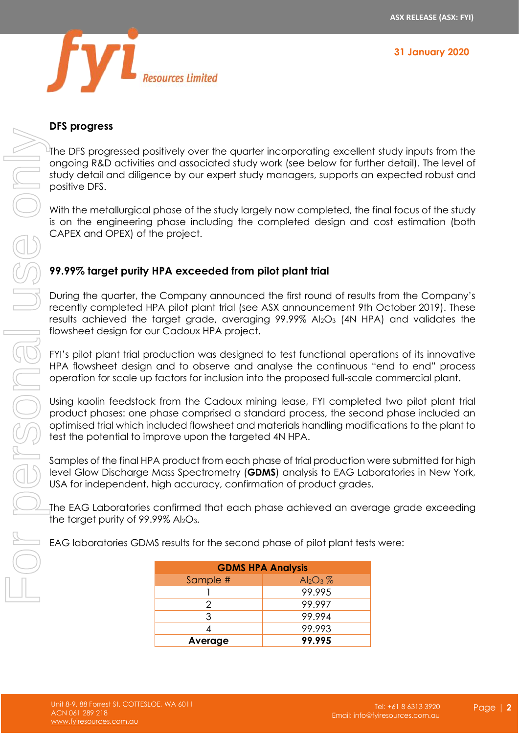



#### **DFS progress**

The DFS progressed positively over the quarter incorporating excellent study inputs from the ongoing R&D activities and associated study work (see below for further detail). The level of study detail and diligence by our expert study managers, supports an expected robust and positive DFS.

With the metallurgical phase of the study largely now completed, the final focus of the study is on the engineering phase including the completed design and cost estimation (both CAPEX and OPEX) of the project.

## **99.99% target purity HPA exceeded from pilot plant trial**

During the quarter, the Company announced the first round of results from the Company's recently completed HPA pilot plant trial (see ASX announcement 9th October 2019). These results achieved the target grade, averaging  $99.99\%$  Al<sub>2</sub>O<sub>3</sub> (4N HPA) and validates the flowsheet design for our Cadoux HPA project.

FYI's pilot plant trial production was designed to test functional operations of its innovative HPA flowsheet design and to observe and analyse the continuous "end to end" process operation for scale up factors for inclusion into the proposed full-scale commercial plant.

Using kaolin feedstock from the Cadoux mining lease, FYI completed two pilot plant trial product phases: one phase comprised a standard process, the second phase included an optimised trial which included flowsheet and materials handling modifications to the plant to test the potential to improve upon the targeted 4N HPA.

Samples of the final HPA product from each phase of trial production were submitted for high level Glow Discharge Mass Spectrometry (**GDMS**) analysis to EAG Laboratories in New York, USA for independent, high accuracy, confirmation of product grades.

The EAG Laboratories confirmed that each phase achieved an average grade exceeding the target purity of  $99.99\%$  Al<sub>2</sub>O<sub>3</sub>.

EAG laboratories GDMS results for the second phase of pilot plant tests were:

| <b>GDMS HPA Analysis</b> |             |  |
|--------------------------|-------------|--|
| Sample #                 | $Al_2O_3$ % |  |
|                          | 99.995      |  |
|                          | 99.997      |  |
| 3                        | 99.994      |  |
|                          | 99.993      |  |
| Average                  | 99.995      |  |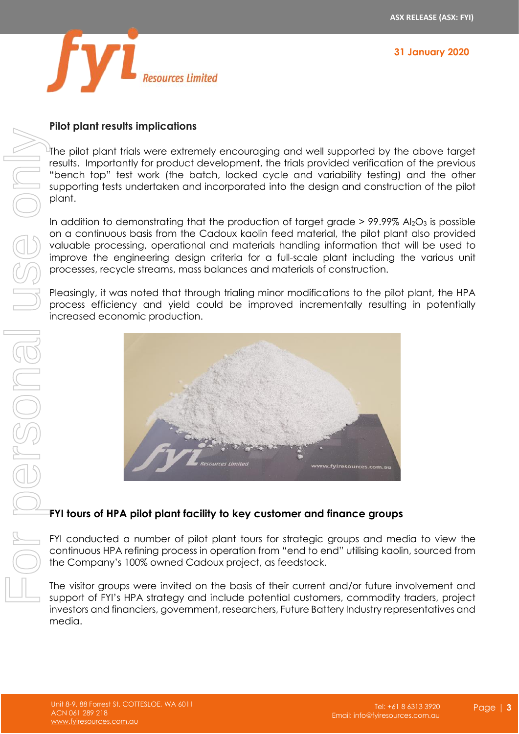

#### **Pilot plant results implications**

The pilot plant trials were extremely encouraging and well supported by the above target results. Importantly for product development, the trials provided verification of the previous "bench top" test work (the batch, locked cycle and variability testing) and the other supporting tests undertaken and incorporated into the design and construction of the pilot plant.

In addition to demonstrating that the production of target grade  $> 99.99\%$  Al<sub>2</sub>O<sub>3</sub> is possible on a continuous basis from the Cadoux kaolin feed material, the pilot plant also provided valuable processing, operational and materials handling information that will be used to improve the engineering design criteria for a full-scale plant including the various unit processes, recycle streams, mass balances and materials of construction.

Pleasingly, it was noted that through trialing minor modifications to the pilot plant, the HPA process efficiency and yield could be improved incrementally resulting in potentially increased economic production.



## **FYI tours of HPA pilot plant facility to key customer and finance groups**

FYI conducted a number of pilot plant tours for strategic groups and media to view the continuous HPA refining process in operation from "end to end" utilising kaolin, sourced from the Company's 100% owned Cadoux project, as feedstock.

The visitor groups were invited on the basis of their current and/or future involvement and support of FYI's HPA strategy and include potential customers, commodity traders, project investors and financiers, government, researchers, Future Battery Industry representatives and media.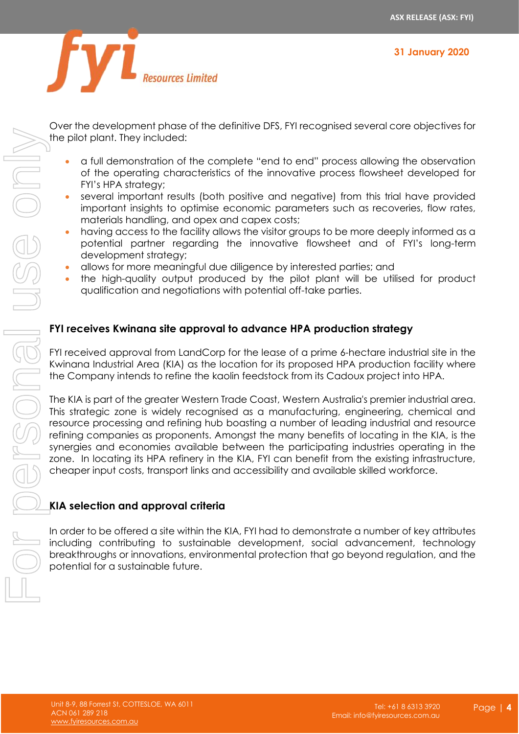

Over the development phase of the definitive DFS, FYI recognised several core objectives for the pilot plant. They included:

- a full demonstration of the complete "end to end" process allowing the observation of the operating characteristics of the innovative process flowsheet developed for FYI's HPA strategy;
- several important results (both positive and negative) from this trial have provided important insights to optimise economic parameters such as recoveries, flow rates, materials handling, and opex and capex costs;
- having access to the facility allows the visitor groups to be more deeply informed as a potential partner regarding the innovative flowsheet and of FYI's long-term development strategy;
- allows for more meaningful due diligence by interested parties; and
- the high-quality output produced by the pilot plant will be utilised for product qualification and negotiations with potential off-take parties.

#### **FYI receives Kwinana site approval to advance HPA production strategy**

FYI received approval from LandCorp for the lease of a prime 6-hectare industrial site in the Kwinana Industrial Area (KIA) as the location for its proposed HPA production facility where the Company intends to refine the kaolin feedstock from its Cadoux project into HPA.

The KIA is part of the greater Western Trade Coast, Western Australia's premier industrial area. This strategic zone is widely recognised as a manufacturing, engineering, chemical and resource processing and refining hub boasting a number of leading industrial and resource refining companies as proponents. Amongst the many benefits of locating in the KIA, is the synergies and economies available between the participating industries operating in the zone. In locating its HPA refinery in the KIA, FYI can benefit from the existing infrastructure, cheaper input costs, transport links and accessibility and available skilled workforce.

#### **KIA selection and approval criteria**

In order to be offered a site within the KIA, FYI had to demonstrate a number of key attributes including contributing to sustainable development, social advancement, technology breakthroughs or innovations, environmental protection that go beyond regulation, and the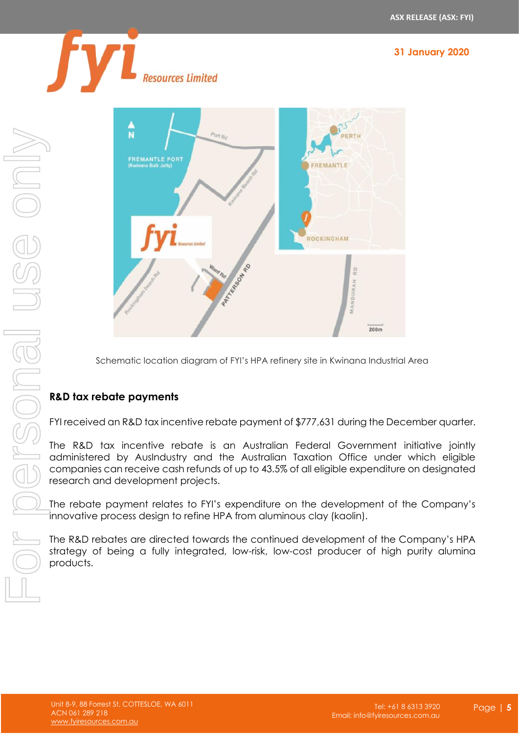



Schematic location diagram of FYI's HPA refinery site in Kwinana Industrial Area

## **R&D tax rebate payments**

FYI received an R&D tax incentive rebate payment of \$777,631 during the December quarter.

The R&D tax incentive rebate is an Australian Federal Government initiative jointly administered by AusIndustry and the Australian Taxation Office under which eligible companies can receive cash refunds of up to 43.5% of all eligible expenditure on designated research and development projects.

The rebate payment relates to FYI's expenditure on the development of the Company's innovative process design to refine HPA from aluminous clay (kaolin).

The R&D rebates are directed towards the continued development of the Company's HPA strategy of being a fully integrated, low-risk, low-cost producer of high purity alumina products.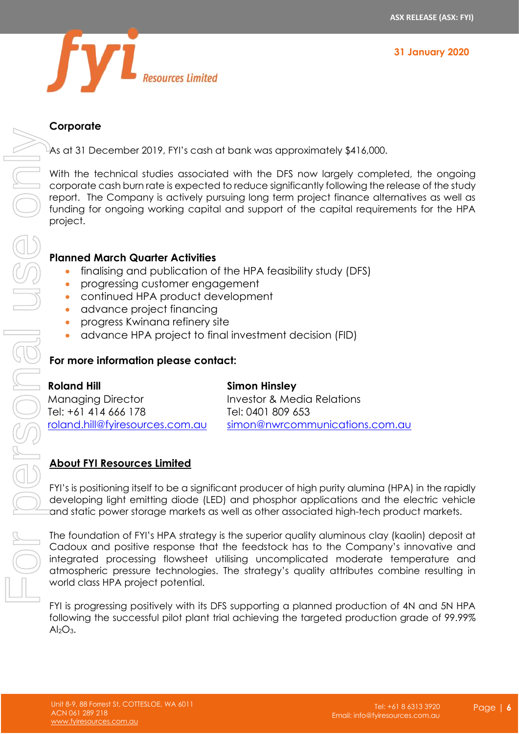



#### **Corporate**

As at 31 December 2019, FYI's cash at bank was approximately \$416,000.

With the technical studies associated with the DFS now largely completed, the ongoing corporate cash burn rate is expected to reduce significantly following the release of the study report. The Company is actively pursuing long term project finance alternatives as well as funding for ongoing working capital and support of the capital requirements for the HPA project.

#### **Planned March Quarter Activities**

- finalising and publication of the HPA feasibility study (DFS)
- progressing customer engagement
- continued HPA product development
- advance project financing
- progress Kwinana refinery site
- advance HPA project to final investment decision (FID)

## **For more information please contact:**

| <b>Roland Hill</b>              | <b>Simon Hinsley</b>           |
|---------------------------------|--------------------------------|
| <b>Managing Director</b>        | Investor & Media Relations     |
| Tel: +61 414 666 178            | Tel: 0401 809 653              |
| roland.hill@fyiresources.com.au | simon@nwrcommunications.com.au |

## **About FYI Resources Limited**

FYI's is positioning itself to be a significant producer of high purity alumina (HPA) in the rapidly developing light emitting diode (LED) and phosphor applications and the electric vehicle and static power storage markets as well as other associated high-tech product markets.

The foundation of FYI's HPA strategy is the superior quality aluminous clay (kaolin) deposit at Cadoux and positive response that the feedstock has to the Company's innovative and integrated processing flowsheet utilising uncomplicated moderate temperature and atmospheric pressure technologies. The strategy's quality attributes combine resulting in world class HPA project potential.

FYI is progressing positively with its DFS supporting a planned production of 4N and 5N HPA following the successful pilot plant trial achieving the targeted production grade of 99.99%  $Al_2O_3$ .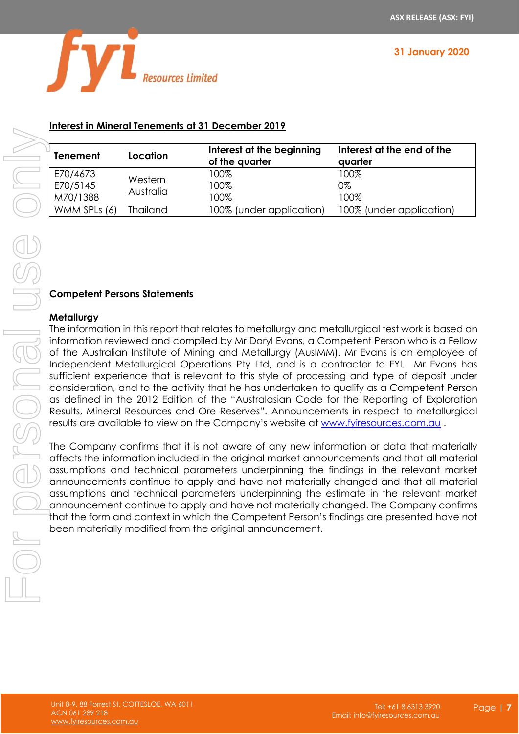

# **Interest in Mineral Tenements at 31 December 2019**

| <b>Tenement</b>                  | Location             | Interest at the beginning<br>of the quarter | Interest at the end of the<br>quarter |
|----------------------------------|----------------------|---------------------------------------------|---------------------------------------|
| E70/4673<br>E70/5145<br>M70/1388 | Western<br>Australia | 100%<br>100%<br>100%                        | 100%<br>0%<br>100%                    |
| WMM SPLs (6)                     | <b>Thailand</b>      | 100% (under application)                    | 100% (under application)              |

#### **Competent Persons Statements**

#### **Metallurgy**

The information in this report that relates to metallurgy and metallurgical test work is based on information reviewed and compiled by Mr Daryl Evans, a Competent Person who is a Fellow of the Australian Institute of Mining and Metallurgy (AusIMM). Mr Evans is an employee of Independent Metallurgical Operations Pty Ltd, and is a contractor to FYI. Mr Evans has sufficient experience that is relevant to this style of processing and type of deposit under consideration, and to the activity that he has undertaken to qualify as a Competent Person as defined in the 2012 Edition of the "Australasian Code for the Reporting of Exploration Results, Mineral Resources and Ore Reserves". Announcements in respect to metallurgical results are available to view on the Company's website at [www.fyiresources.com.au](http://www.fyiresources.com.au/) . **Example 19 Examples 10 Accord 19 Accord 19 Accord 19 Accord 19 Accord 19 Accord 19 Accord 19 Accord 19 Accord 19 Accord 19 Accord 19 Accord 19 Accord 19 Accord 19 Accord 19 Accord 19 Accord 19 Accord 19 Accord 19 Accord 1** 

The Company confirms that it is not aware of any new information or data that materially affects the information included in the original market announcements and that all material assumptions and technical parameters underpinning the findings in the relevant market announcements continue to apply and have not materially changed and that all material assumptions and technical parameters underpinning the estimate in the relevant market announcement continue to apply and have not materially changed. The Company confirms that the form and context in which the Competent Person's findings are presented have not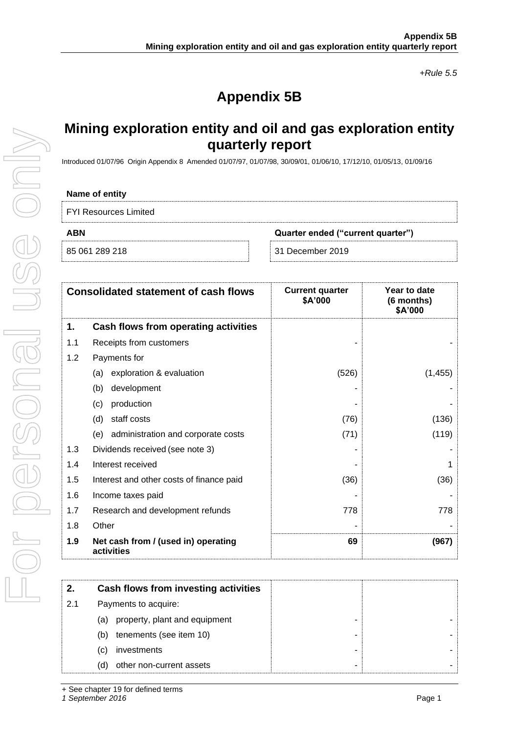*+Rule 5.5*

# **Appendix 5B**

# **Mining exploration entity and oil and gas exploration entity quarterly report**

Introduced 01/07/96 Origin Appendix 8 Amended 01/07/97, 01/07/98, 30/09/01, 01/06/10, 17/12/10, 01/05/13, 01/09/16

#### **Name of entity**

| <b>FYI Resources Limited</b> |  |
|------------------------------|--|
|------------------------------|--|

|  | 85 061 289 218 |  |
|--|----------------|--|

**ABN Quarter ended ("current quarter")**

31 December 2019

|     | <b>Consolidated statement of cash flows</b>       | <b>Current quarter</b><br>\$A'000 | Year to date<br>(6 months)<br>\$A'000 |
|-----|---------------------------------------------------|-----------------------------------|---------------------------------------|
| 1.  | Cash flows from operating activities              |                                   |                                       |
| 1.1 | Receipts from customers                           |                                   |                                       |
| 1.2 | Payments for                                      |                                   |                                       |
|     | exploration & evaluation<br>(a)                   | (526)                             | (1, 455)                              |
|     | development<br>(b)                                |                                   |                                       |
|     | production<br>(c)                                 |                                   |                                       |
|     | staff costs<br>(d)                                | (76)                              | (136)                                 |
|     | administration and corporate costs<br>(e)         | (71)                              | (119)                                 |
| 1.3 | Dividends received (see note 3)                   |                                   |                                       |
| 1.4 | Interest received                                 |                                   |                                       |
| 1.5 | Interest and other costs of finance paid          | (36)                              | (36)                                  |
| 1.6 | Income taxes paid                                 |                                   |                                       |
| 1.7 | Research and development refunds                  | 778                               | 778                                   |
| 1.8 | Other                                             |                                   |                                       |
| 1.9 | Net cash from / (used in) operating<br>activities | 69                                | (967)                                 |

| 2.  | Cash flows from investing activities |
|-----|--------------------------------------|
| 2.1 | Payments to acquire:                 |
|     | property, plant and equipment<br>(a) |
|     | tenements (see item 10)<br>(b)       |
|     | investments<br>(C)                   |
|     | other non-current assets<br>(d)      |

*1 September 2016* Page 1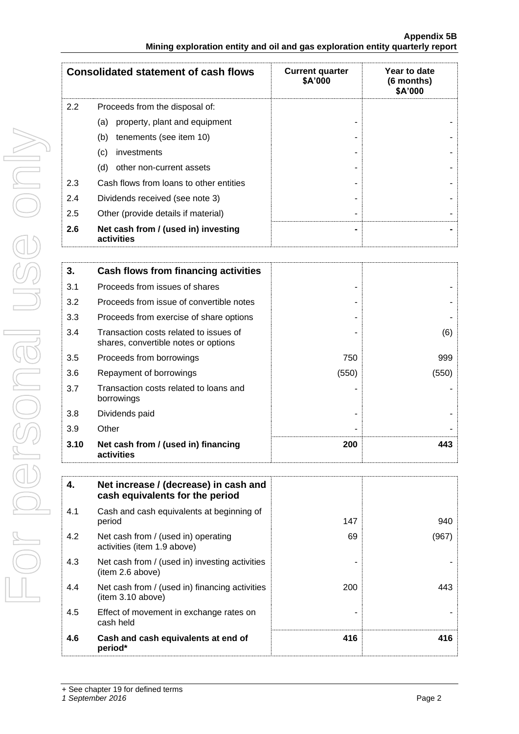|      | <b>Consolidated statement of cash flows</b>                                    | <b>Current quarter</b><br>\$A'000 | Year to date<br>(6 months)<br>\$A'000 |
|------|--------------------------------------------------------------------------------|-----------------------------------|---------------------------------------|
| 2.2  | Proceeds from the disposal of:                                                 |                                   |                                       |
|      | property, plant and equipment<br>(a)                                           |                                   |                                       |
|      | (b)<br>tenements (see item 10)                                                 |                                   |                                       |
|      | investments<br>(c)                                                             |                                   |                                       |
|      | (d)<br>other non-current assets                                                |                                   |                                       |
| 2.3  | Cash flows from loans to other entities                                        |                                   |                                       |
| 2.4  | Dividends received (see note 3)                                                |                                   |                                       |
| 2.5  | Other (provide details if material)                                            |                                   |                                       |
| 2.6  | Net cash from / (used in) investing<br>activities                              |                                   |                                       |
|      |                                                                                |                                   |                                       |
| 3.   | <b>Cash flows from financing activities</b>                                    |                                   |                                       |
| 3.1  | Proceeds from issues of shares                                                 |                                   |                                       |
| 3.2  | Proceeds from issue of convertible notes                                       |                                   |                                       |
| 3.3  | Proceeds from exercise of share options                                        |                                   |                                       |
| 3.4  | Transaction costs related to issues of<br>shares, convertible notes or options |                                   | (6)                                   |
| 3.5  | Proceeds from borrowings                                                       | 750                               | 999                                   |
| 3.6  | Repayment of borrowings                                                        | (550)                             | (550)                                 |
| 3.7  | Transaction costs related to loans and<br>borrowings                           |                                   |                                       |
| 3.8  | Dividends paid                                                                 |                                   |                                       |
| 3.9  | Other                                                                          |                                   |                                       |
| 3.10 | Net cash from / (used in) financing<br>activities                              | 200                               | 443                                   |

| 4.  | Net increase / (decrease) in cash and<br>cash equivalents for the period |     |       |
|-----|--------------------------------------------------------------------------|-----|-------|
| 4.1 | Cash and cash equivalents at beginning of<br>period                      | 147 | 940   |
| 4.2 | Net cash from / (used in) operating<br>activities (item 1.9 above)       | 69  | (967) |
| 4.3 | Net cash from / (used in) investing activities<br>(item 2.6 above)       |     |       |
| 4.4 | Net cash from / (used in) financing activities<br>item 3.10 above)       | 200 | 443   |
| 4.5 | Effect of movement in exchange rates on<br>cash held                     |     |       |
| 4.6 | Cash and cash equivalents at end of<br>period*                           | 416 | 416   |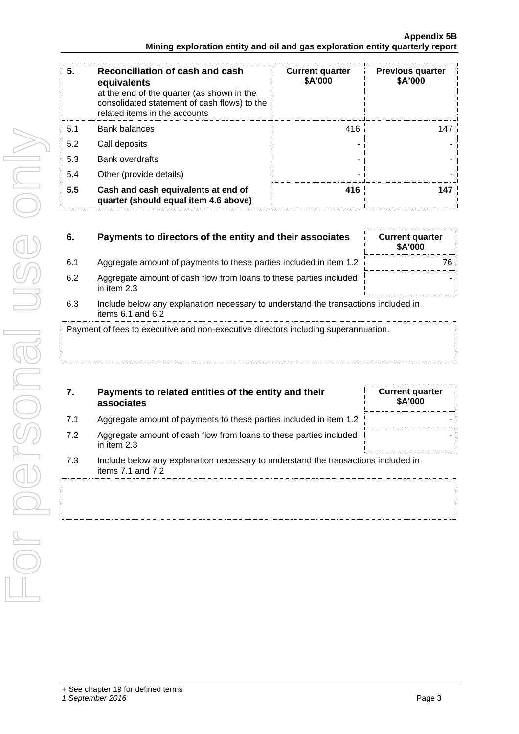| 5.  | Reconciliation of cash and cash<br>equivalents<br>at the end of the quarter (as shown in the<br>consolidated statement of cash flows) to the<br>related items in the accounts | <b>Current quarter</b><br>\$A'000 | <b>Previous quarter</b><br>\$A'000 |
|-----|-------------------------------------------------------------------------------------------------------------------------------------------------------------------------------|-----------------------------------|------------------------------------|
| 5.1 | <b>Bank balances</b>                                                                                                                                                          | 416                               | 147                                |
| 5.2 | Call deposits                                                                                                                                                                 |                                   |                                    |
| 5.3 | Bank overdrafts                                                                                                                                                               |                                   |                                    |
| 5.4 | Other (provide details)                                                                                                                                                       | ۰                                 |                                    |
| 5.5 | Cash and cash equivalents at end of<br>quarter (should equal item 4.6 above)                                                                                                  | 416                               | 147                                |

| 6.  | Payments to directors of the entity and their associates                            | <b>Current quarter</b><br><b>\$A'000</b> |
|-----|-------------------------------------------------------------------------------------|------------------------------------------|
| 6.1 | Aggregate amount of payments to these parties included in item 1.2                  | 76                                       |
| 6.2 | Aggregate amount of cash flow from loans to these parties included<br>in item $2.3$ |                                          |
| 63  | Include below any explanation necessary to understand the transactions included in  |                                          |

derstand the transactions included in items 6.1 and 6.2

Payment of fees to executive and non-executive directors including superannuation.

| 7. | Payments to related entities of the entity and their |
|----|------------------------------------------------------|
|    | associates                                           |

| 7.1 |  | Aggregate amount of payments to these parties included in item 1.2 |  |
|-----|--|--------------------------------------------------------------------|--|
|-----|--|--------------------------------------------------------------------|--|

- 7.2 Aggregate amount of cash flow from loans to these parties included in item 2.3
- 7.3 Include below any explanation necessary to understand the transactions included in items 7.1 and 7.2

**Current quarter \$A'000**

-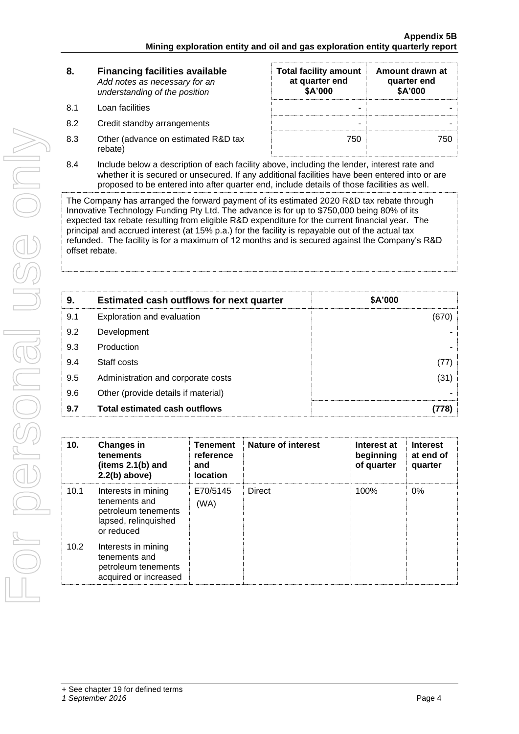| 8. | <b>Financing facilities available</b> |  |
|----|---------------------------------------|--|
|    | Add notes as necessary for an         |  |
|    | understanding of the position         |  |

- 8.1 Loan facilities
- 8.2 Credit standby arrangements
- 8.3 Other (advance on estimated R&D tax rebate)

| <b>Total facility amount</b><br>at quarter end<br>\$A'000 | Amount drawn at<br>quarter end<br>\$A'000 |  |
|-----------------------------------------------------------|-------------------------------------------|--|
|                                                           |                                           |  |
|                                                           |                                           |  |
| 750                                                       |                                           |  |

8.4 Include below a description of each facility above, including the lender, interest rate and whether it is secured or unsecured. If any additional facilities have been entered into or are proposed to be entered into after quarter end, include details of those facilities as well.

The Company has arranged the forward payment of its estimated 2020 R&D tax rebate through Innovative Technology Funding Pty Ltd. The advance is for up to \$750,000 being 80% of its expected tax rebate resulting from eligible R&D expenditure for the current financial year. The principal and accrued interest (at 15% p.a.) for the facility is repayable out of the actual tax refunded. The facility is for a maximum of 12 months and is secured against the Company's R&D offset rebate.

| 9.  | <b>Estimated cash outflows for next quarter</b> | \$A'000 |  |
|-----|-------------------------------------------------|---------|--|
| 9.1 | Exploration and evaluation                      | (670)   |  |
| 9.2 | Development                                     |         |  |
| 9.3 | Production                                      |         |  |
| 9.4 | Staff costs                                     | (77)    |  |
| 9.5 | Administration and corporate costs              | (31)    |  |
| 9.6 | Other (provide details if material)             |         |  |
| 9.7 | <b>Total estimated cash outflows</b>            |         |  |

| 10.  | <b>Changes in</b><br>tenements<br>(items $2.1(b)$ and<br>$2.2(b)$ above)                          | <b>Tenement</b><br>reference<br>and<br><b>location</b> | <b>Nature of interest</b> | Interest at<br>beginning<br>of quarter | <b>Interest</b><br>at end of<br>quarter |
|------|---------------------------------------------------------------------------------------------------|--------------------------------------------------------|---------------------------|----------------------------------------|-----------------------------------------|
| 10.1 | Interests in mining<br>tenements and<br>petroleum tenements<br>lapsed, relinquished<br>or reduced | E70/5145<br>(WA)                                       | <b>Direct</b>             | 100%                                   | $0\%$                                   |
| 10.2 | Interests in mining<br>tenements and<br>petroleum tenements<br>acquired or increased              |                                                        |                           |                                        |                                         |